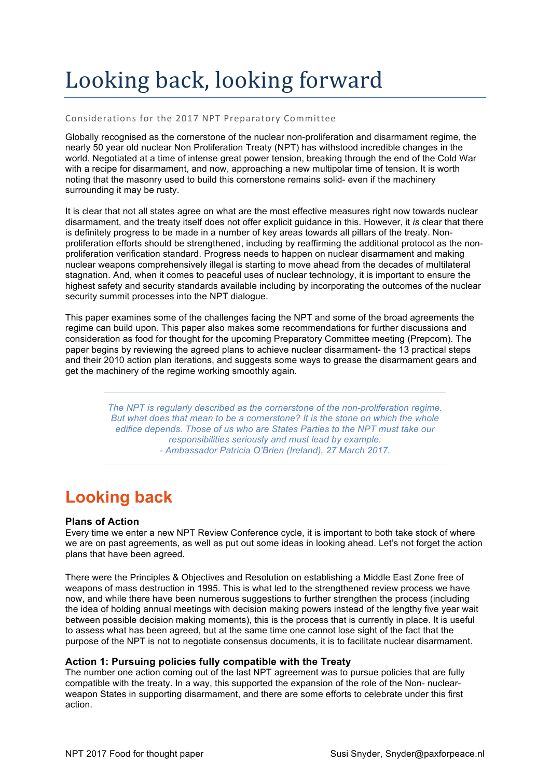# Looking back, looking forward

# Considerations for the 2017 NPT Preparatory Committee

Globally recognised as the cornerstone of the nuclear non-proliferation and disarmament regime, the nearly 50 year old nuclear Non Proliferation Treaty (NPT) has withstood incredible changes in the world. Negotiated at a time of intense great power tension, breaking through the end of the Cold War with a recipe for disarmament, and now, approaching a new multipolar time of tension. It is worth noting that the masonry used to build this cornerstone remains solid- even if the machinery surrounding it may be rusty.

It is clear that not all states agree on what are the most effective measures right now towards nuclear disarmament, and the treaty itself does not offer explicit guidance in this. However, it *is* clear that there is definitely progress to be made in a number of key areas towards all pillars of the treaty. Nonproliferation efforts should be strengthened, including by reaffirming the additional protocol as the nonproliferation verification standard. Progress needs to happen on nuclear disarmament and making nuclear weapons comprehensively illegal is starting to move ahead from the decades of multilateral stagnation. And, when it comes to peaceful uses of nuclear technology, it is important to ensure the highest safety and security standards available including by incorporating the outcomes of the nuclear security summit processes into the NPT dialogue.

This paper examines some of the challenges facing the NPT and some of the broad agreements the regime can build upon. This paper also makes some recommendations for further discussions and consideration as food for thought for the upcoming Preparatory Committee meeting (Prepcom). The paper begins by reviewing the agreed plans to achieve nuclear disarmament- the 13 practical steps and their 2010 action plan iterations, and suggests some ways to grease the disarmament gears and get the machinery of the regime working smoothly again.

> *The NPT is regularly described as the cornerstone of the non-proliferation regime. But what does that mean to be a cornerstone? It is the stone on which the whole edifice depends. Those of us who are States Parties to the NPT must take our responsibilities seriously and must lead by example. - Ambassador Patricia O'Brien (Ireland), 27 March 2017.*

# **Looking back**

# **Plans of Action**

Every time we enter a new NPT Review Conference cycle, it is important to both take stock of where we are on past agreements, as well as put out some ideas in looking ahead. Let's not forget the action plans that have been agreed.

There were the Principles & Objectives and Resolution on establishing a Middle East Zone free of weapons of mass destruction in 1995. This is what led to the strengthened review process we have now, and while there have been numerous suggestions to further strengthen the process (including the idea of holding annual meetings with decision making powers instead of the lengthy five year wait between possible decision making moments), this is the process that is currently in place. It is useful to assess what has been agreed, but at the same time one cannot lose sight of the fact that the purpose of the NPT is not to negotiate consensus documents, it is to facilitate nuclear disarmament.

# **Action 1: Pursuing policies fully compatible with the Treaty**

The number one action coming out of the last NPT agreement was to pursue policies that are fully compatible with the treaty. In a way, this supported the expansion of the role of the Non- nuclearweapon States in supporting disarmament, and there are some efforts to celebrate under this first action.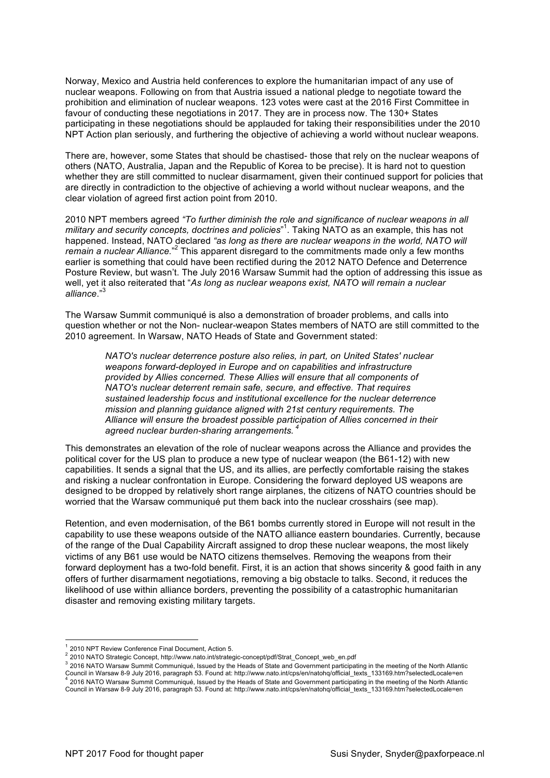Norway, Mexico and Austria held conferences to explore the humanitarian impact of any use of nuclear weapons. Following on from that Austria issued a national pledge to negotiate toward the prohibition and elimination of nuclear weapons. 123 votes were cast at the 2016 First Committee in favour of conducting these negotiations in 2017. They are in process now. The 130+ States participating in these negotiations should be applauded for taking their responsibilities under the 2010 NPT Action plan seriously, and furthering the objective of achieving a world without nuclear weapons.

There are, however, some States that should be chastised- those that rely on the nuclear weapons of others (NATO, Australia, Japan and the Republic of Korea to be precise). It is hard not to question whether they are still committed to nuclear disarmament, given their continued support for policies that are directly in contradiction to the objective of achieving a world without nuclear weapons, and the clear violation of agreed first action point from 2010.

2010 NPT members agreed *"To further diminish the role and significance of nuclear weapons in all military and security concepts, doctrines and policies*" 1 . Taking NATO as an example, this has not happened. Instead, NATO declared *"as long as there are nuclear weapons in the world, NATO will*  remain a nuclear Alliance."<sup>2</sup> This apparent disregard to the commitments made only a few months earlier is something that could have been rectified during the 2012 NATO Defence and Deterrence Posture Review, but wasn't. The July 2016 Warsaw Summit had the option of addressing this issue as well, yet it also reiterated that "*As long as nuclear weapons exist, NATO will remain a nuclear alliance*."<sup>3</sup>

The Warsaw Summit communiqué is also a demonstration of broader problems, and calls into question whether or not the Non- nuclear-weapon States members of NATO are still committed to the 2010 agreement. In Warsaw, NATO Heads of State and Government stated:

*NATO's nuclear deterrence posture also relies, in part, on United States' nuclear weapons forward-deployed in Europe and on capabilities and infrastructure provided by Allies concerned. These Allies will ensure that all components of NATO's nuclear deterrent remain safe, secure, and effective. That requires sustained leadership focus and institutional excellence for the nuclear deterrence mission and planning guidance aligned with 21st century requirements. The Alliance will ensure the broadest possible participation of Allies concerned in their agreed nuclear burden-sharing arrangements. <sup>4</sup>*

This demonstrates an elevation of the role of nuclear weapons across the Alliance and provides the political cover for the US plan to produce a new type of nuclear weapon (the B61-12) with new capabilities. It sends a signal that the US, and its allies, are perfectly comfortable raising the stakes and risking a nuclear confrontation in Europe. Considering the forward deployed US weapons are designed to be dropped by relatively short range airplanes, the citizens of NATO countries should be worried that the Warsaw communiqué put them back into the nuclear crosshairs (see map).

Retention, and even modernisation, of the B61 bombs currently stored in Europe will not result in the capability to use these weapons outside of the NATO alliance eastern boundaries. Currently, because of the range of the Dual Capability Aircraft assigned to drop these nuclear weapons, the most likely victims of any B61 use would be NATO citizens themselves. Removing the weapons from their forward deployment has a two-fold benefit. First, it is an action that shows sincerity & good faith in any offers of further disarmament negotiations, removing a big obstacle to talks. Second, it reduces the likelihood of use within alliance borders, preventing the possibility of a catastrophic humanitarian disaster and removing existing military targets.

<sup>2010</sup> NPT Review Conference Final Document, Action 5.

<sup>2</sup> 2010 NATO Strategic Concept, http://www.nato.int/strategic-concept/pdf/Strat\_Concept\_web\_en.pdf

<sup>&</sup>lt;sup>3</sup> 2016 NATO Warsaw Summit Communiqué, Issued by the Heads of State and Government participating in the meeting of the North Atlantic Council in Warsaw 8-9 July 2016, paragraph 53. Found at: http://www.nato.int/cps/en/hatohq/official\_texts\_133169.htm?selectedLocale=en<br>4 2016 NATO Warsaw Summit Communiqué, Issued by the Heads of State and Government parti

Council in Warsaw 8-9 July 2016, paragraph 53. Found at: http://www.nato.int/cps/en/natohq/official\_texts\_133169.htm?selectedLocale=en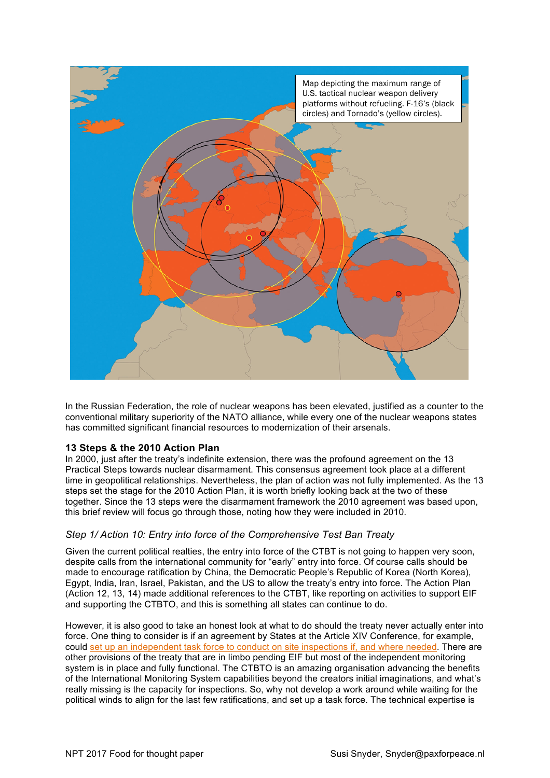

In the Russian Federation, the role of nuclear weapons has been elevated, justified as a counter to the conventional military superiority of the NATO alliance, while every one of the nuclear weapons states has committed significant financial resources to modernization of their arsenals.

# **13 Steps & the 2010 Action Plan**

In 2000, just after the treaty's indefinite extension, there was the profound agreement on the 13 Practical Steps towards nuclear disarmament. This consensus agreement took place at a different time in geopolitical relationships. Nevertheless, the plan of action was not fully implemented. As the 13 steps set the stage for the 2010 Action Plan, it is worth briefly looking back at the two of these together. Since the 13 steps were the disarmament framework the 2010 agreement was based upon, this brief review will focus go through those, noting how they were included in 2010.

# *Step 1/ Action 10: Entry into force of the Comprehensive Test Ban Treaty*

Given the current political realties, the entry into force of the CTBT is not going to happen very soon, despite calls from the international community for "early" entry into force. Of course calls should be made to encourage ratification by China, the Democratic People's Republic of Korea (North Korea), Egypt, India, Iran, Israel, Pakistan, and the US to allow the treaty's entry into force. The Action Plan (Action 12, 13, 14) made additional references to the CTBT, like reporting on activities to support EIF and supporting the CTBTO, and this is something all states can continue to do.

However, it is also good to take an honest look at what to do should the treaty never actually enter into force. One thing to consider is if an agreement by States at the Article XIV Conference, for example, could set up an independent task force to conduct on site inspections if, and where needed. There are other provisions of the treaty that are in limbo pending EIF but most of the independent monitoring system is in place and fully functional. The CTBTO is an amazing organisation advancing the benefits of the International Monitoring System capabilities beyond the creators initial imaginations, and what's really missing is the capacity for inspections. So, why not develop a work around while waiting for the political winds to align for the last few ratifications, and set up a task force. The technical expertise is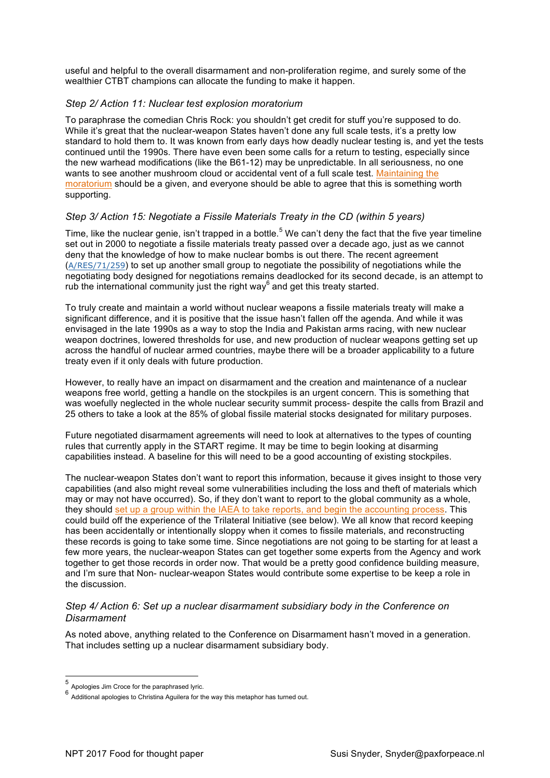useful and helpful to the overall disarmament and non-proliferation regime, and surely some of the wealthier CTBT champions can allocate the funding to make it happen.

# *Step 2/ Action 11: Nuclear test explosion moratorium*

To paraphrase the comedian Chris Rock: you shouldn't get credit for stuff you're supposed to do. While it's great that the nuclear-weapon States haven't done any full scale tests, it's a pretty low standard to hold them to. It was known from early days how deadly nuclear testing is, and yet the tests continued until the 1990s. There have even been some calls for a return to testing, especially since the new warhead modifications (like the B61-12) may be unpredictable. In all seriousness, no one wants to see another mushroom cloud or accidental vent of a full scale test. Maintaining the moratorium should be a given, and everyone should be able to agree that this is something worth supporting.

# *Step 3/ Action 15: Negotiate a Fissile Materials Treaty in the CD (within 5 years)*

Time, like the nuclear genie, isn't trapped in a bottle.<sup>5</sup> We can't deny the fact that the five year timeline set out in 2000 to negotiate a fissile materials treaty passed over a decade ago, just as we cannot deny that the knowledge of how to make nuclear bombs is out there. The recent agreement (A/RES/71/259) to set up another small group to negotiate the possibility of negotiations while the negotiating body designed for negotiations remains deadlocked for its second decade, is an attempt to rub the international community just the right way $<sup>6</sup>$  and get this treaty started.</sup>

To truly create and maintain a world without nuclear weapons a fissile materials treaty will make a significant difference, and it is positive that the issue hasn't fallen off the agenda. And while it was envisaged in the late 1990s as a way to stop the India and Pakistan arms racing, with new nuclear weapon doctrines, lowered thresholds for use, and new production of nuclear weapons getting set up across the handful of nuclear armed countries, maybe there will be a broader applicability to a future treaty even if it only deals with future production.

However, to really have an impact on disarmament and the creation and maintenance of a nuclear weapons free world, getting a handle on the stockpiles is an urgent concern. This is something that was woefully neglected in the whole nuclear security summit process- despite the calls from Brazil and 25 others to take a look at the 85% of global fissile material stocks designated for military purposes.

Future negotiated disarmament agreements will need to look at alternatives to the types of counting rules that currently apply in the START regime. It may be time to begin looking at disarming capabilities instead. A baseline for this will need to be a good accounting of existing stockpiles.

The nuclear-weapon States don't want to report this information, because it gives insight to those very capabilities (and also might reveal some vulnerabilities including the loss and theft of materials which may or may not have occurred). So, if they don't want to report to the global community as a whole, they should set up a group within the IAEA to take reports, and begin the accounting process. This could build off the experience of the Trilateral Initiative (see below). We all know that record keeping has been accidentally or intentionally sloppy when it comes to fissile materials, and reconstructing these records is going to take some time. Since negotiations are not going to be starting for at least a few more years, the nuclear-weapon States can get together some experts from the Agency and work together to get those records in order now. That would be a pretty good confidence building measure, and I'm sure that Non- nuclear-weapon States would contribute some expertise to be keep a role in the discussion.

## *Step 4/ Action 6: Set up a nuclear disarmament subsidiary body in the Conference on Disarmament*

As noted above, anything related to the Conference on Disarmament hasn't moved in a generation. That includes setting up a nuclear disarmament subsidiary body.

 <sup>5</sup> Apologies Jim Croce for the paraphrased lyric.

<sup>6&</sup>lt;br>6 Additional apologies to Christina Aguilera for the way this metaphor has turned out.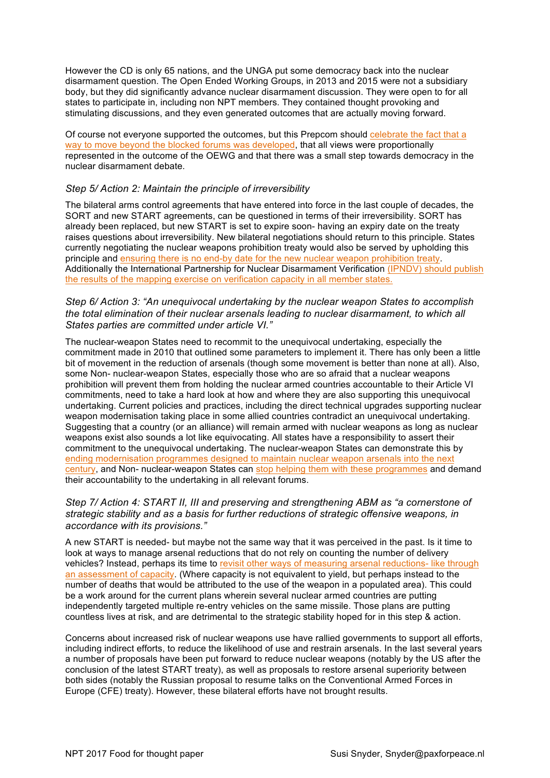However the CD is only 65 nations, and the UNGA put some democracy back into the nuclear disarmament question. The Open Ended Working Groups, in 2013 and 2015 were not a subsidiary body, but they did significantly advance nuclear disarmament discussion. They were open to for all states to participate in, including non NPT members. They contained thought provoking and stimulating discussions, and they even generated outcomes that are actually moving forward.

Of course not everyone supported the outcomes, but this Prepcom should celebrate the fact that a way to move beyond the blocked forums was developed, that all views were proportionally represented in the outcome of the OEWG and that there was a small step towards democracy in the nuclear disarmament debate.

# *Step 5/ Action 2: Maintain the principle of irreversibility*

The bilateral arms control agreements that have entered into force in the last couple of decades, the SORT and new START agreements, can be questioned in terms of their irreversibility. SORT has already been replaced, but new START is set to expire soon- having an expiry date on the treaty raises questions about irreversibility. New bilateral negotiations should return to this principle. States currently negotiating the nuclear weapons prohibition treaty would also be served by upholding this principle and ensuring there is no end-by date for the new nuclear weapon prohibition treaty. Additionally the International Partnership for Nuclear Disarmament Verification (IPNDV) should publish the results of the mapping exercise on verification capacity in all member states.

*Step 6/ Action 3: "An unequivocal undertaking by the nuclear weapon States to accomplish the total elimination of their nuclear arsenals leading to nuclear disarmament, to which all States parties are committed under article VI."*

The nuclear-weapon States need to recommit to the unequivocal undertaking, especially the commitment made in 2010 that outlined some parameters to implement it. There has only been a little bit of movement in the reduction of arsenals (though some movement is better than none at all). Also, some Non- nuclear-weapon States, especially those who are so afraid that a nuclear weapons prohibition will prevent them from holding the nuclear armed countries accountable to their Article VI commitments, need to take a hard look at how and where they are also supporting this unequivocal undertaking. Current policies and practices, including the direct technical upgrades supporting nuclear weapon modernisation taking place in some allied countries contradict an unequivocal undertaking. Suggesting that a country (or an alliance) will remain armed with nuclear weapons as long as nuclear weapons exist also sounds a lot like equivocating. All states have a responsibility to assert their commitment to the unequivocal undertaking. The nuclear-weapon States can demonstrate this by ending modernisation programmes designed to maintain nuclear weapon arsenals into the next century, and Non- nuclear-weapon States can stop helping them with these programmes and demand their accountability to the undertaking in all relevant forums.

# *Step 7/ Action 4: START II, III and preserving and strengthening ABM as "a cornerstone of strategic stability and as a basis for further reductions of strategic offensive weapons, in accordance with its provisions."*

A new START is needed- but maybe not the same way that it was perceived in the past. Is it time to look at ways to manage arsenal reductions that do not rely on counting the number of delivery vehicles? Instead, perhaps its time to revisit other ways of measuring arsenal reductions- like through an assessment of capacity. (Where capacity is not equivalent to yield, but perhaps instead to the number of deaths that would be attributed to the use of the weapon in a populated area). This could be a work around for the current plans wherein several nuclear armed countries are putting independently targeted multiple re-entry vehicles on the same missile. Those plans are putting countless lives at risk, and are detrimental to the strategic stability hoped for in this step & action.

Concerns about increased risk of nuclear weapons use have rallied governments to support all efforts, including indirect efforts, to reduce the likelihood of use and restrain arsenals. In the last several years a number of proposals have been put forward to reduce nuclear weapons (notably by the US after the conclusion of the latest START treaty), as well as proposals to restore arsenal superiority between both sides (notably the Russian proposal to resume talks on the Conventional Armed Forces in Europe (CFE) treaty). However, these bilateral efforts have not brought results.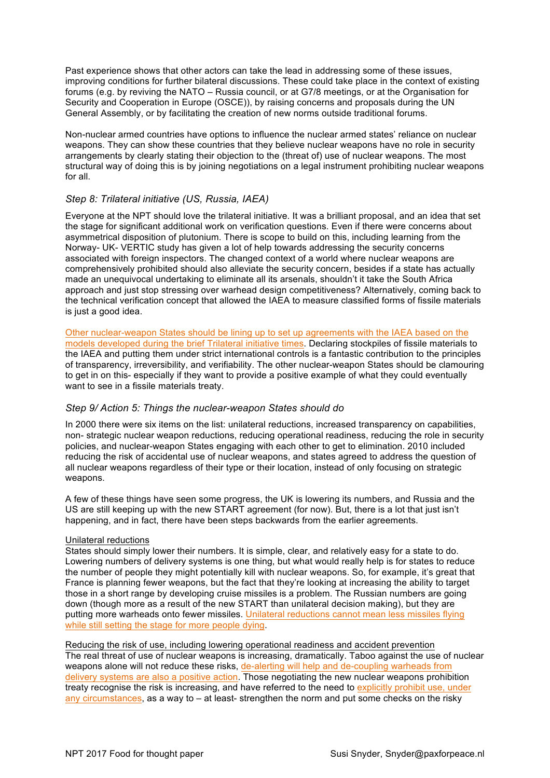Past experience shows that other actors can take the lead in addressing some of these issues, improving conditions for further bilateral discussions. These could take place in the context of existing forums (e.g. by reviving the NATO – Russia council, or at G7/8 meetings, or at the Organisation for Security and Cooperation in Europe (OSCE)), by raising concerns and proposals during the UN General Assembly, or by facilitating the creation of new norms outside traditional forums.

Non-nuclear armed countries have options to influence the nuclear armed states' reliance on nuclear weapons. They can show these countries that they believe nuclear weapons have no role in security arrangements by clearly stating their objection to the (threat of) use of nuclear weapons. The most structural way of doing this is by joining negotiations on a legal instrument prohibiting nuclear weapons for all.

# *Step 8: Trilateral initiative (US, Russia, IAEA)*

Everyone at the NPT should love the trilateral initiative. It was a brilliant proposal, and an idea that set the stage for significant additional work on verification questions. Even if there were concerns about asymmetrical disposition of plutonium. There is scope to build on this, including learning from the Norway- UK- VERTIC study has given a lot of help towards addressing the security concerns associated with foreign inspectors. The changed context of a world where nuclear weapons are comprehensively prohibited should also alleviate the security concern, besides if a state has actually made an unequivocal undertaking to eliminate all its arsenals, shouldn't it take the South Africa approach and just stop stressing over warhead design competitiveness? Alternatively, coming back to the technical verification concept that allowed the IAEA to measure classified forms of fissile materials is just a good idea.

Other nuclear-weapon States should be lining up to set up agreements with the IAEA based on the models developed during the brief Trilateral initiative times. Declaring stockpiles of fissile materials to the IAEA and putting them under strict international controls is a fantastic contribution to the principles of transparency, irreversibility, and verifiability. The other nuclear-weapon States should be clamouring to get in on this- especially if they want to provide a positive example of what they could eventually want to see in a fissile materials treaty.

# *Step 9/ Action 5: Things the nuclear-weapon States should do*

In 2000 there were six items on the list: unilateral reductions, increased transparency on capabilities, non- strategic nuclear weapon reductions, reducing operational readiness, reducing the role in security policies, and nuclear-weapon States engaging with each other to get to elimination. 2010 included reducing the risk of accidental use of nuclear weapons, and states agreed to address the question of all nuclear weapons regardless of their type or their location, instead of only focusing on strategic weapons.

A few of these things have seen some progress, the UK is lowering its numbers, and Russia and the US are still keeping up with the new START agreement (for now). But, there is a lot that just isn't happening, and in fact, there have been steps backwards from the earlier agreements.

#### Unilateral reductions

States should simply lower their numbers. It is simple, clear, and relatively easy for a state to do. Lowering numbers of delivery systems is one thing, but what would really help is for states to reduce the number of people they might potentially kill with nuclear weapons. So, for example, it's great that France is planning fewer weapons, but the fact that they're looking at increasing the ability to target those in a short range by developing cruise missiles is a problem. The Russian numbers are going down (though more as a result of the new START than unilateral decision making), but they are putting more warheads onto fewer missiles. Unilateral reductions cannot mean less missiles flying while still setting the stage for more people dying.

Reducing the risk of use, including lowering operational readiness and accident prevention The real threat of use of nuclear weapons is increasing, dramatically. Taboo against the use of nuclear weapons alone will not reduce these risks, de-alerting will help and de-coupling warheads from delivery systems are also a positive action. Those negotiating the new nuclear weapons prohibition treaty recognise the risk is increasing, and have referred to the need to explicitly prohibit use, under any circumstances, as a way to – at least- strengthen the norm and put some checks on the risky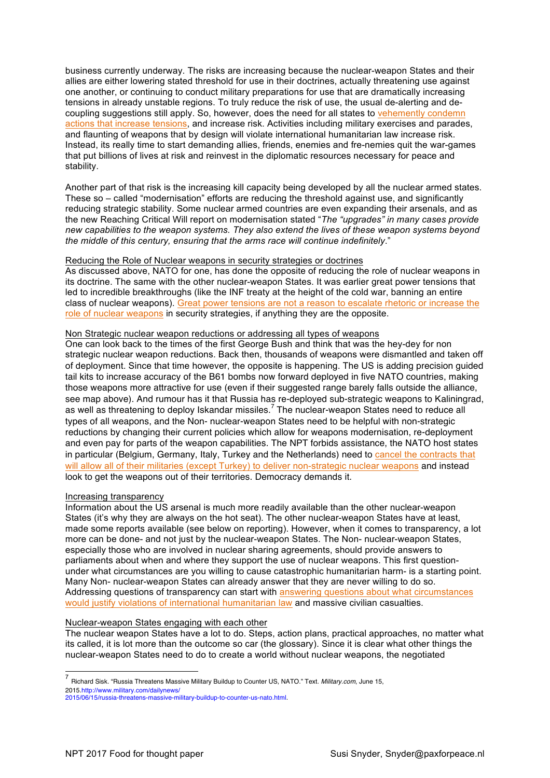business currently underway. The risks are increasing because the nuclear-weapon States and their allies are either lowering stated threshold for use in their doctrines, actually threatening use against one another, or continuing to conduct military preparations for use that are dramatically increasing tensions in already unstable regions. To truly reduce the risk of use, the usual de-alerting and decoupling suggestions still apply. So, however, does the need for all states to vehemently condemn actions that increase tensions, and increase risk. Activities including military exercises and parades, and flaunting of weapons that by design will violate international humanitarian law increase risk. Instead, its really time to start demanding allies, friends, enemies and fre-nemies quit the war-games that put billions of lives at risk and reinvest in the diplomatic resources necessary for peace and stability.

Another part of that risk is the increasing kill capacity being developed by all the nuclear armed states. These so – called "modernisation" efforts are reducing the threshold against use, and significantly reducing strategic stability. Some nuclear armed countries are even expanding their arsenals, and as the new Reaching Critical Will report on modernisation stated "*The "upgrades" in many cases provide new capabilities to the weapon systems. They also extend the lives of these weapon systems beyond the middle of this century, ensuring that the arms race will continue indefinitely*."

#### Reducing the Role of Nuclear weapons in security strategies or doctrines

As discussed above, NATO for one, has done the opposite of reducing the role of nuclear weapons in its doctrine. The same with the other nuclear-weapon States. It was earlier great power tensions that led to incredible breakthroughs (like the INF treaty at the height of the cold war, banning an entire class of nuclear weapons). Great power tensions are not a reason to escalate rhetoric or increase the role of nuclear weapons in security strategies, if anything they are the opposite.

#### Non Strategic nuclear weapon reductions or addressing all types of weapons

One can look back to the times of the first George Bush and think that was the hey-dey for non strategic nuclear weapon reductions. Back then, thousands of weapons were dismantled and taken off of deployment. Since that time however, the opposite is happening. The US is adding precision guided tail kits to increase accuracy of the B61 bombs now forward deployed in five NATO countries, making those weapons more attractive for use (even if their suggested range barely falls outside the alliance, see map above). And rumour has it that Russia has re-deployed sub-strategic weapons to Kaliningrad, as well as threatening to deploy Iskandar missiles.<sup>7</sup> The nuclear-weapon States need to reduce all types of all weapons, and the Non- nuclear-weapon States need to be helpful with non-strategic reductions by changing their current policies which allow for weapons modernisation, re-deployment and even pay for parts of the weapon capabilities. The NPT forbids assistance, the NATO host states in particular (Belgium, Germany, Italy, Turkey and the Netherlands) need to cancel the contracts that will allow all of their militaries (except Turkey) to deliver non-strategic nuclear weapons and instead look to get the weapons out of their territories. Democracy demands it.

#### Increasing transparency

Information about the US arsenal is much more readily available than the other nuclear-weapon States (it's why they are always on the hot seat). The other nuclear-weapon States have at least, made some reports available (see below on reporting). However, when it comes to transparency, a lot more can be done- and not just by the nuclear-weapon States. The Non- nuclear-weapon States, especially those who are involved in nuclear sharing agreements, should provide answers to parliaments about when and where they support the use of nuclear weapons. This first questionunder what circumstances are you willing to cause catastrophic humanitarian harm- is a starting point. Many Non- nuclear-weapon States can already answer that they are never willing to do so. Addressing questions of transparency can start with answering questions about what circumstances would justify violations of international humanitarian law and massive civilian casualties.

#### Nuclear-weapon States engaging with each other

The nuclear weapon States have a lot to do. Steps, action plans, practical approaches, no matter what its called, it is lot more than the outcome so car (the glossary). Since it is clear what other things the nuclear-weapon States need to do to create a world without nuclear weapons, the negotiated

 7 Richard Sisk. "Russia Threatens Massive Military Buildup to Counter US, NATO." Text. *Military.com*, June 15, 2015.http://www.military.com/dailynews/

<sup>2015/06/15/</sup>russia-threatens-massive-military-buildup-to-counter-us-nato.html.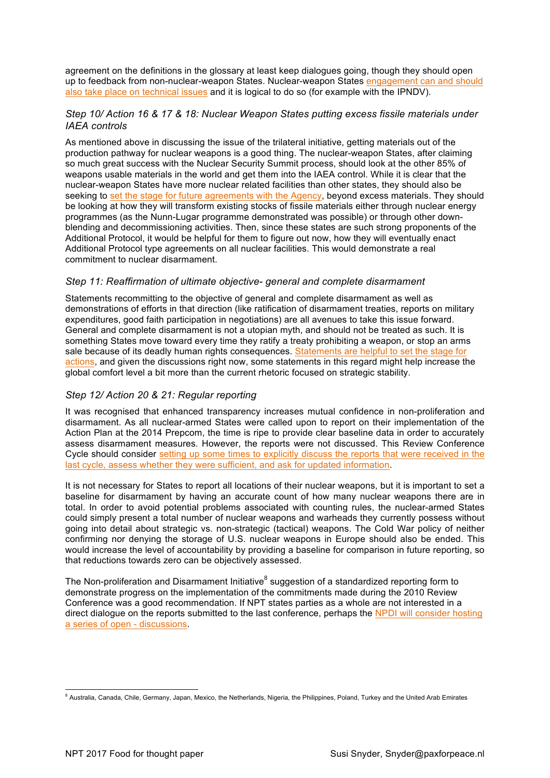agreement on the definitions in the glossary at least keep dialogues going, though they should open up to feedback from non-nuclear-weapon States. Nuclear-weapon States engagement can and should also take place on technical issues and it is logical to do so (for example with the IPNDV).

# *Step 10/ Action 16 & 17 & 18: Nuclear Weapon States putting excess fissile materials under IAEA controls*

As mentioned above in discussing the issue of the trilateral initiative, getting materials out of the production pathway for nuclear weapons is a good thing. The nuclear-weapon States, after claiming so much great success with the Nuclear Security Summit process, should look at the other 85% of weapons usable materials in the world and get them into the IAEA control. While it is clear that the nuclear-weapon States have more nuclear related facilities than other states, they should also be seeking to set the stage for future agreements with the Agency, beyond excess materials. They should be looking at how they will transform existing stocks of fissile materials either through nuclear energy programmes (as the Nunn-Lugar programme demonstrated was possible) or through other downblending and decommissioning activities. Then, since these states are such strong proponents of the Additional Protocol, it would be helpful for them to figure out now, how they will eventually enact Additional Protocol type agreements on all nuclear facilities. This would demonstrate a real commitment to nuclear disarmament.

# *Step 11: Reaffirmation of ultimate objective- general and complete disarmament*

Statements recommitting to the objective of general and complete disarmament as well as demonstrations of efforts in that direction (like ratification of disarmament treaties, reports on military expenditures, good faith participation in negotiations) are all avenues to take this issue forward. General and complete disarmament is not a utopian myth, and should not be treated as such. It is something States move toward every time they ratify a treaty prohibiting a weapon, or stop an arms sale because of its deadly human rights consequences. Statements are helpful to set the stage for actions, and given the discussions right now, some statements in this regard might help increase the global comfort level a bit more than the current rhetoric focused on strategic stability.

# *Step 12/ Action 20 & 21: Regular reporting*

It was recognised that enhanced transparency increases mutual confidence in non-proliferation and disarmament. As all nuclear-armed States were called upon to report on their implementation of the Action Plan at the 2014 Prepcom, the time is ripe to provide clear baseline data in order to accurately assess disarmament measures. However, the reports were not discussed. This Review Conference Cycle should consider setting up some times to explicitly discuss the reports that were received in the last cycle, assess whether they were sufficient, and ask for updated information.

It is not necessary for States to report all locations of their nuclear weapons, but it is important to set a baseline for disarmament by having an accurate count of how many nuclear weapons there are in total. In order to avoid potential problems associated with counting rules, the nuclear-armed States could simply present a total number of nuclear weapons and warheads they currently possess without going into detail about strategic vs. non-strategic (tactical) weapons. The Cold War policy of neither confirming nor denying the storage of U.S. nuclear weapons in Europe should also be ended. This would increase the level of accountability by providing a baseline for comparison in future reporting, so that reductions towards zero can be objectively assessed.

The Non-proliferation and Disarmament Initiative<sup>8</sup> suggestion of a standardized reporting form to demonstrate progress on the implementation of the commitments made during the 2010 Review Conference was a good recommendation. If NPT states parties as a whole are not interested in a direct dialogue on the reports submitted to the last conference, perhaps the NPDI will consider hosting a series of open - discussions.

<sup>&</sup>lt;sup>8</sup> Australia, Canada, Chile, Germany, Japan, Mexico, the Netherlands, Nigeria, the Philippines, Poland, Turkey and the United Arab Emirates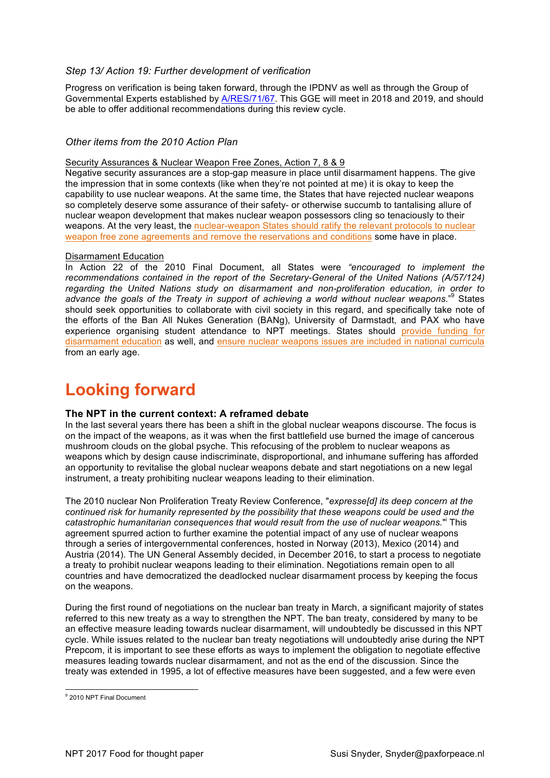# *Step 13/ Action 19: Further development of verification*

Progress on verification is being taken forward, through the IPDNV as well as through the Group of Governmental Experts established by A/RES/71/67. This GGE will meet in 2018 and 2019, and should be able to offer additional recommendations during this review cycle.

# *Other items from the 2010 Action Plan*

Security Assurances & Nuclear Weapon Free Zones, Action 7, 8 & 9

Negative security assurances are a stop-gap measure in place until disarmament happens. The give the impression that in some contexts (like when they're not pointed at me) it is okay to keep the capability to use nuclear weapons. At the same time, the States that have rejected nuclear weapons so completely deserve some assurance of their safety- or otherwise succumb to tantalising allure of nuclear weapon development that makes nuclear weapon possessors cling so tenaciously to their weapons. At the very least, the nuclear-weapon States should ratify the relevant protocols to nuclear weapon free zone agreements and remove the reservations and conditions some have in place.

## Disarmament Education

In Action 22 of the 2010 Final Document, all States were *"encouraged to implement the*  recommendations contained in the report of the Secretary-General of the United Nations (A/57/124) *regarding the United Nations study on disarmament and non-proliferation education, in order to advance the goals of the Treaty in support of achieving a world without nuclear weapons*."<sup>9</sup> States should seek opportunities to collaborate with civil society in this regard, and specifically take note of the efforts of the Ban All Nukes Generation (BANg), University of Darmstadt, and PAX who have experience organising student attendance to NPT meetings. States should provide funding for disarmament education as well, and ensure nuclear weapons issues are included in national curricula from an early age.

# **Looking forward**

# **The NPT in the current context: A reframed debate**

In the last several years there has been a shift in the global nuclear weapons discourse. The focus is on the impact of the weapons, as it was when the first battlefield use burned the image of cancerous mushroom clouds on the global psyche. This refocusing of the problem to nuclear weapons as weapons which by design cause indiscriminate, disproportional, and inhumane suffering has afforded an opportunity to revitalise the global nuclear weapons debate and start negotiations on a new legal instrument, a treaty prohibiting nuclear weapons leading to their elimination.

The 2010 nuclear Non Proliferation Treaty Review Conference, "*expresse[d] its deep concern at the continued risk for humanity represented by the possibility that these weapons could be used and the*  catastrophic humanitarian consequences that would result from the use of nuclear weapons." This agreement spurred action to further examine the potential impact of any use of nuclear weapons through a series of intergovernmental conferences, hosted in Norway (2013), Mexico (2014) and Austria (2014). The UN General Assembly decided, in December 2016, to start a process to negotiate a treaty to prohibit nuclear weapons leading to their elimination. Negotiations remain open to all countries and have democratized the deadlocked nuclear disarmament process by keeping the focus on the weapons.

During the first round of negotiations on the nuclear ban treaty in March, a significant majority of states referred to this new treaty as a way to strengthen the NPT. The ban treaty, considered by many to be an effective measure leading towards nuclear disarmament, will undoubtedly be discussed in this NPT cycle. While issues related to the nuclear ban treaty negotiations will undoubtedly arise during the NPT Prepcom, it is important to see these efforts as ways to implement the obligation to negotiate effective measures leading towards nuclear disarmament, and not as the end of the discussion. Since the treaty was extended in 1995, a lot of effective measures have been suggested, and a few were even

 <sup>9</sup> 2010 NPT Final Document